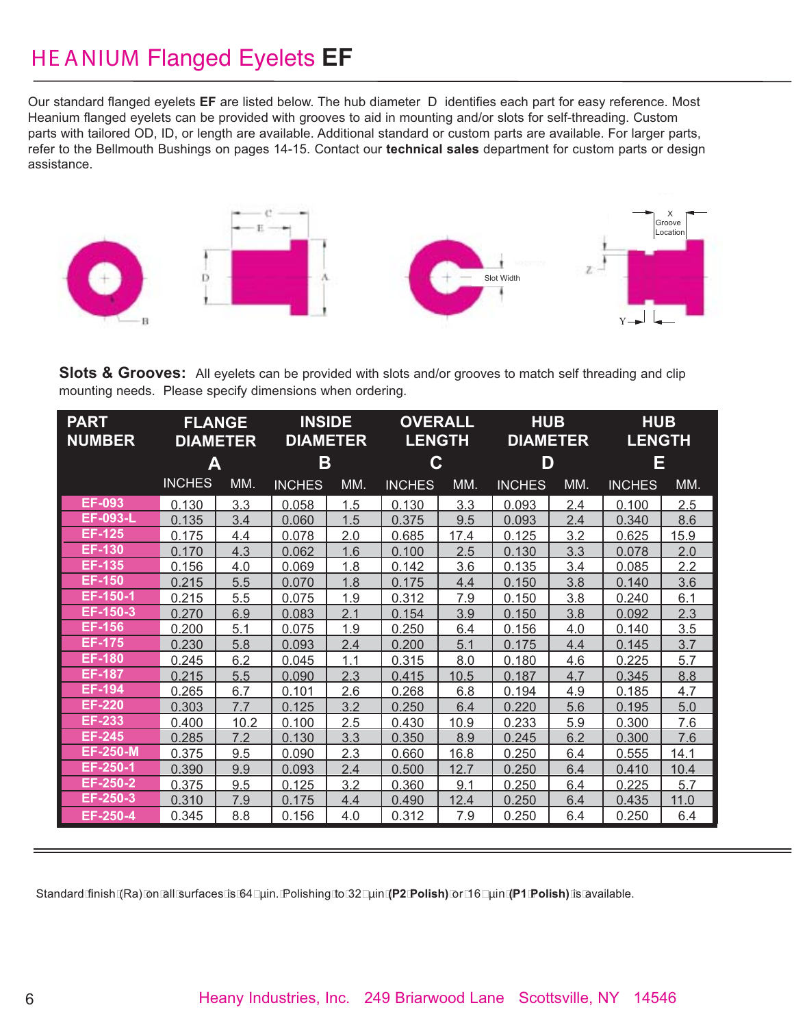## HE ANIUM Flanged Eyelets **EF**

Our standard flanged eyelets **EF** are listed below. The hub diameter D identifies each part for easy reference. Most Heanium flanged eyelets can be provided with grooves to aid in mounting and/or slots for self-threading. Custom parts with tailored OD, ID, or length are available. Additional standard or custom parts are available. For larger parts, refer to the Bellmouth Bushings on pages 14-15. Contact our **technical sales** department for custom parts or design assistance.



**Slots & Grooves:** All eyelets can be provided with slots and/or grooves to match self threading and clip mounting needs. Please specify dimensions when ordering.

| <b>PART</b><br><b>NUMBER</b> | <b>FLANGE</b><br><b>DIAMETER</b> |      | <b>INSIDE</b><br><b>DIAMETER</b> |     | <b>OVERALL</b><br><b>LENGTH</b> |      | <b>HUB</b><br><b>DIAMETER</b> |     | <b>HUB</b><br><b>LENGTH</b> |      |
|------------------------------|----------------------------------|------|----------------------------------|-----|---------------------------------|------|-------------------------------|-----|-----------------------------|------|
|                              | Α                                |      | Β                                |     | С                               |      | D                             |     | Ε                           |      |
|                              | <b>INCHES</b>                    | MM.  | <b>INCHES</b>                    | MM. | <b>INCHES</b>                   | MM.  | <b>INCHES</b>                 | MM. | <b>INCHES</b>               | MM.  |
| <b>EF-093</b>                | 0.130                            | 3.3  | 0.058                            | 1.5 | 0.130                           | 3.3  | 0.093                         | 2.4 | 0.100                       | 2.5  |
| <b>EF-093-L</b>              | 0.135                            | 3.4  | 0.060                            | 1.5 | 0.375                           | 9.5  | 0.093                         | 2.4 | 0.340                       | 8.6  |
| <b>EF-125</b>                | 0.175                            | 4.4  | 0.078                            | 2.0 | 0.685                           | 17.4 | 0.125                         | 3.2 | 0.625                       | 15.9 |
| <b>EF-130</b>                | 0.170                            | 4.3  | 0.062                            | 1.6 | 0.100                           | 2.5  | 0.130                         | 3.3 | 0.078                       | 2.0  |
| EF-135                       | 0.156                            | 4.0  | 0.069                            | 1.8 | 0.142                           | 3.6  | 0.135                         | 3.4 | 0.085                       | 2.2  |
| <b>EF-150</b>                | 0.215                            | 5.5  | 0.070                            | 1.8 | 0.175                           | 4.4  | 0.150                         | 3.8 | 0.140                       | 3.6  |
| EF-150-1                     | 0.215                            | 5.5  | 0.075                            | 1.9 | 0.312                           | 7.9  | 0.150                         | 3.8 | 0.240                       | 6.1  |
| EF-150-3                     | 0.270                            | 6.9  | 0.083                            | 2.1 | 0.154                           | 3.9  | 0.150                         | 3.8 | 0.092                       | 2.3  |
| <b>EF-156</b>                | 0.200                            | 5.1  | 0.075                            | 1.9 | 0.250                           | 6.4  | 0.156                         | 4.0 | 0.140                       | 3.5  |
| <b>EF-175</b>                | 0.230                            | 5.8  | 0.093                            | 2.4 | 0.200                           | 5.1  | 0.175                         | 4.4 | 0.145                       | 3.7  |
| <b>EF-180</b>                | 0.245                            | 6.2  | 0.045                            | 1.1 | 0.315                           | 8.0  | 0.180                         | 4.6 | 0.225                       | 5.7  |
| <b>EF-187</b>                | 0.215                            | 5.5  | 0.090                            | 2.3 | 0.415                           | 10.5 | 0.187                         | 4.7 | 0.345                       | 8.8  |
| <b>EF-194</b>                | 0.265                            | 6.7  | 0.101                            | 2.6 | 0.268                           | 6.8  | 0.194                         | 4.9 | 0.185                       | 4.7  |
| <b>EF-220</b>                | 0.303                            | 7.7  | 0.125                            | 3.2 | 0.250                           | 6.4  | 0.220                         | 5.6 | 0.195                       | 5.0  |
| <b>EF-233</b>                | 0.400                            | 10.2 | 0.100                            | 2.5 | 0.430                           | 10.9 | 0.233                         | 5.9 | 0.300                       | 7.6  |
| <b>EF-245</b>                | 0.285                            | 7.2  | 0.130                            | 3.3 | 0.350                           | 8.9  | 0.245                         | 6.2 | 0.300                       | 7.6  |
| <b>EF-250-M</b>              | 0.375                            | 9.5  | 0.090                            | 2.3 | 0.660                           | 16.8 | 0.250                         | 6.4 | 0.555                       | 14.1 |
| EF-250-1                     | 0.390                            | 9.9  | 0.093                            | 2.4 | 0.500                           | 12.7 | 0.250                         | 6.4 | 0.410                       | 10.4 |
| EF-250-2                     | 0.375                            | 9.5  | 0.125                            | 3.2 | 0.360                           | 9.1  | 0.250                         | 6.4 | 0.225                       | 5.7  |
| EF-250-3                     | 0.310                            | 7.9  | 0.175                            | 4.4 | 0.490                           | 12.4 | 0.250                         | 6.4 | 0.435                       | 11.0 |
| EF-250-4                     | 0.345                            | 8.8  | 0.156                            | 4.0 | 0.312                           | 7.9  | 0.250                         | 6.4 | 0.250                       | 6.4  |

Standard finish (Ra) on all surfaces is 64 µin. Polishing to 32 µin **(P2 Polish)** or 16 µin **(P1 Polish)** is available.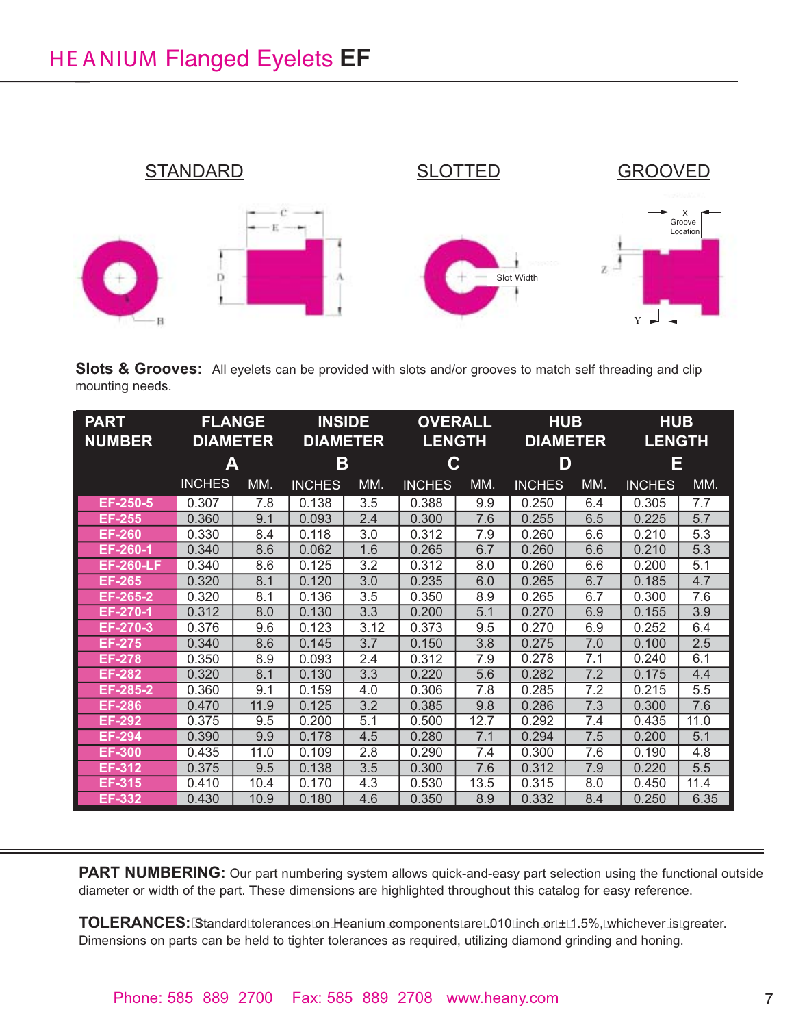

**Slots & Grooves:** All eyelets can be provided with slots and/or grooves to match self threading and clip mounting needs.

| <b>PART</b><br><b>NUMBER</b> | <b>FLANGE</b><br><b>DIAMETER</b> |      | <b>INSIDE</b><br><b>DIAMETER</b> |      | <b>OVERALL</b><br><b>LENGTH</b> |      | <b>HUB</b><br><b>DIAMETER</b> |     | <b>HUB</b><br><b>LENGTH</b> |      |
|------------------------------|----------------------------------|------|----------------------------------|------|---------------------------------|------|-------------------------------|-----|-----------------------------|------|
|                              | A                                |      | B                                |      | C                               |      | D                             |     | Ε                           |      |
|                              | <b>INCHES</b>                    | MM.  | <b>INCHES</b>                    | MM.  | <b>INCHES</b>                   | MM.  | <b>INCHES</b>                 | MM. | <b>INCHES</b>               | MM.  |
| EF-250-5                     | 0.307                            | 7.8  | 0.138                            | 3.5  | 0.388                           | 9.9  | 0.250                         | 6.4 | 0.305                       | 7.7  |
| <b>EF-255</b>                | 0.360                            | 9.1  | 0.093                            | 2.4  | 0.300                           | 7.6  | 0.255                         | 6.5 | 0.225                       | 5.7  |
| <b>EF-260</b>                | 0.330                            | 8.4  | 0.118                            | 3.0  | 0.312                           | 7.9  | 0.260                         | 6.6 | 0.210                       | 5.3  |
| EF-260-1                     | 0.340                            | 8.6  | 0.062                            | 1.6  | 0.265                           | 6.7  | 0.260                         | 6.6 | 0.210                       | 5.3  |
| <b>EF-260-LF</b>             | 0.340                            | 8.6  | 0.125                            | 3.2  | 0.312                           | 8.0  | 0.260                         | 6.6 | 0.200                       | 5.1  |
| <b>EF-265</b>                | 0.320                            | 8.1  | 0.120                            | 3.0  | 0.235                           | 6.0  | 0.265                         | 6.7 | 0.185                       | 4.7  |
| EF-265-2                     | 0.320                            | 8.1  | 0.136                            | 3.5  | 0.350                           | 8.9  | 0.265                         | 6.7 | 0.300                       | 7.6  |
| EF-270-1                     | 0.312                            | 8.0  | 0.130                            | 3.3  | 0.200                           | 5.1  | 0.270                         | 6.9 | 0.155                       | 3.9  |
| EF-270-3                     | 0.376                            | 9.6  | 0.123                            | 3.12 | 0.373                           | 9.5  | 0.270                         | 6.9 | 0.252                       | 6.4  |
| <b>EF-275</b>                | 0.340                            | 8.6  | 0.145                            | 3.7  | 0.150                           | 3.8  | 0.275                         | 7.0 | 0.100                       | 2.5  |
| <b>EF-278</b>                | 0.350                            | 8.9  | 0.093                            | 2.4  | 0.312                           | 7.9  | 0.278                         | 7.1 | 0.240                       | 6.1  |
| <b>EF-282</b>                | 0.320                            | 8.1  | 0.130                            | 3.3  | 0.220                           | 5.6  | 0.282                         | 7.2 | 0.175                       | 4.4  |
| EF-285-2                     | 0.360                            | 9.1  | 0.159                            | 4.0  | 0.306                           | 7.8  | 0.285                         | 7.2 | 0.215                       | 5.5  |
| <b>EF-286</b>                | 0.470                            | 11.9 | 0.125                            | 3.2  | 0.385                           | 9.8  | 0.286                         | 7.3 | 0.300                       | 7.6  |
| <b>EF-292</b>                | 0.375                            | 9.5  | 0.200                            | 5.1  | 0.500                           | 12.7 | 0.292                         | 7.4 | 0.435                       | 11.0 |
| <b>EF-294</b>                | 0.390                            | 9.9  | 0.178                            | 4.5  | 0.280                           | 7.1  | 0.294                         | 7.5 | 0.200                       | 5.1  |
| <b>EF-300</b>                | 0.435                            | 11.0 | 0.109                            | 2.8  | 0.290                           | 7.4  | 0.300                         | 7.6 | 0.190                       | 4.8  |
| <b>EF-312</b>                | 0.375                            | 9.5  | 0.138                            | 3.5  | 0.300                           | 7.6  | 0.312                         | 7.9 | 0.220                       | 5.5  |
| <b>EF-315</b>                | 0.410                            | 10.4 | 0.170                            | 4.3  | 0.530                           | 13.5 | 0.315                         | 8.0 | 0.450                       | 11.4 |
| EF-332                       | 0.430                            | 10.9 | 0.180                            | 4.6  | 0.350                           | 8.9  | 0.332                         | 8.4 | 0.250                       | 6.35 |

**PART NUMBERING:** Our part numbering system allows quick-and-easy part selection using the functional outside diameter or width of the part. These dimensions are highlighted throughout this catalog for easy reference.

**TOLERANCES:** Standard tolerances on Heanium components are .010 inch or ± 1.5%, whichever is greater. Dimensions on parts can be held to tighter tolerances as required, utilizing diamond grinding and honing.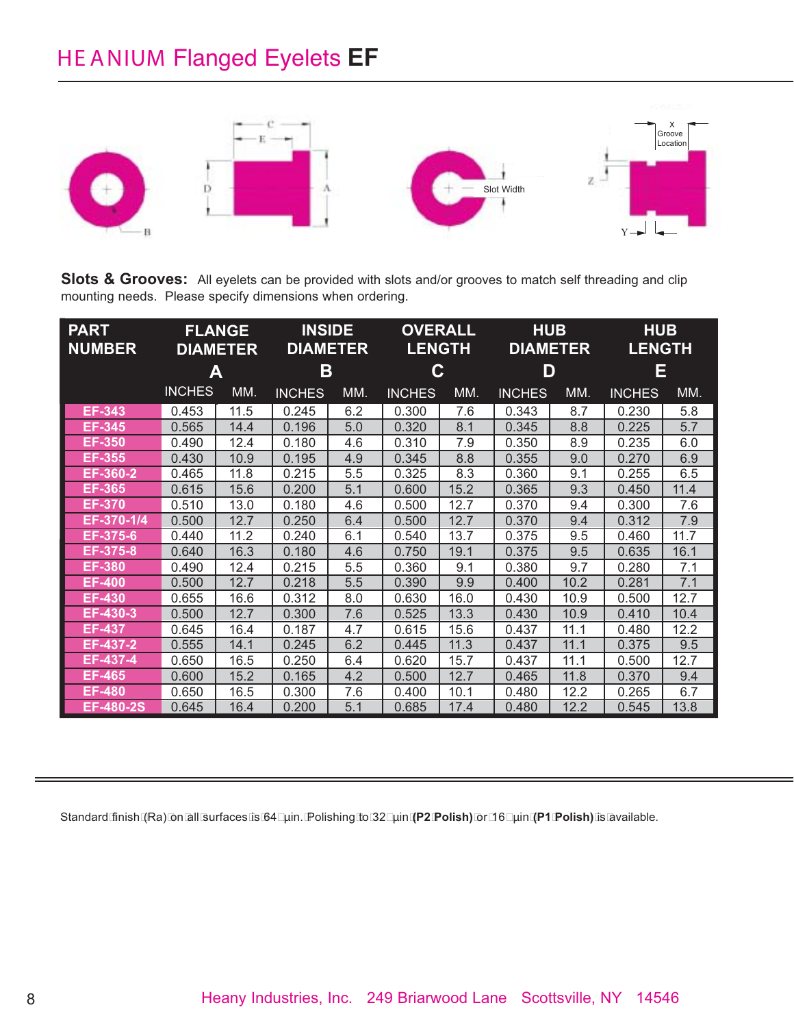## HE ANIUM Flanged Eyelets **EF**



**Slots & Grooves:** All eyelets can be provided with slots and/or grooves to match self threading and clip mounting needs. Please specify dimensions when ordering.

| <b>PART</b><br><b>NUMBER</b> | <b>FLANGE</b><br><b>DIAMETER</b> |      | <b>INSIDE</b><br><b>DIAMETER</b> |     | <b>OVERALL</b><br><b>LENGTH</b> |      | <b>HUB</b><br><b>DIAMETER</b> |      | <b>HUB</b><br><u>LENGTH</u> |      |
|------------------------------|----------------------------------|------|----------------------------------|-----|---------------------------------|------|-------------------------------|------|-----------------------------|------|
|                              | Α                                |      | Β                                |     | С                               |      | D                             |      | Ε                           |      |
|                              | <b>INCHES</b>                    | MM.  | <b>INCHES</b>                    | MM. | <b>INCHES</b>                   | MM.  | <b>INCHES</b>                 | MM.  | <b>INCHES</b>               | MM.  |
| <b>EF-343</b>                | 0.453                            | 11.5 | 0.245                            | 6.2 | 0.300                           | 7.6  | 0.343                         | 8.7  | 0.230                       | 5.8  |
| <b>EF-345</b>                | 0.565                            | 14.4 | 0.196                            | 5.0 | 0.320                           | 8.1  | 0.345                         | 8.8  | 0.225                       | 5.7  |
| <b>EF-350</b>                | 0.490                            | 12.4 | 0.180                            | 4.6 | 0.310                           | 7.9  | 0.350                         | 8.9  | 0.235                       | 6.0  |
| <b>EF-355</b>                | 0.430                            | 10.9 | 0.195                            | 4.9 | 0.345                           | 8.8  | 0.355                         | 9.0  | 0.270                       | 6.9  |
| EF-360-2                     | 0.465                            | 11.8 | 0.215                            | 5.5 | 0.325                           | 8.3  | 0.360                         | 9.1  | 0.255                       | 6.5  |
| <b>EF-365</b>                | 0.615                            | 15.6 | 0.200                            | 5.1 | 0.600                           | 15.2 | 0.365                         | 9.3  | 0.450                       | 11.4 |
| <b>EF-370</b>                | 0.510                            | 13.0 | 0.180                            | 4.6 | 0.500                           | 12.7 | 0.370                         | 9.4  | 0.300                       | 7.6  |
| EF-370-1/4                   | 0.500                            | 12.7 | 0.250                            | 6.4 | 0.500                           | 12.7 | 0.370                         | 9.4  | 0.312                       | 7.9  |
| EF-375-6                     | 0.440                            | 11.2 | 0.240                            | 6.1 | 0.540                           | 13.7 | 0.375                         | 9.5  | 0.460                       | 11.7 |
| EF-375-8                     | 0.640                            | 16.3 | 0.180                            | 4.6 | 0.750                           | 19.1 | 0.375                         | 9.5  | 0.635                       | 16.1 |
| <b>EF-380</b>                | 0.490                            | 12.4 | 0.215                            | 5.5 | 0.360                           | 9.1  | 0.380                         | 9.7  | 0.280                       | 7.1  |
| <b>EF-400</b>                | 0.500                            | 12.7 | 0.218                            | 5.5 | 0.390                           | 9.9  | 0.400                         | 10.2 | 0.281                       | 7.1  |
| EF-430                       | 0.655                            | 16.6 | 0.312                            | 8.0 | 0.630                           | 16.0 | 0.430                         | 10.9 | 0.500                       | 12.7 |
| EF-430-3                     | 0.500                            | 12.7 | 0.300                            | 7.6 | 0.525                           | 13.3 | 0.430                         | 10.9 | 0.410                       | 10.4 |
| <b>EF-437</b>                | 0.645                            | 16.4 | 0.187                            | 4.7 | 0.615                           | 15.6 | 0.437                         | 11.1 | 0.480                       | 12.2 |
| EF-437-2                     | 0.555                            | 14.1 | 0.245                            | 6.2 | 0.445                           | 11.3 | 0.437                         | 11.1 | 0.375                       | 9.5  |
| EF-437-4                     | 0.650                            | 16.5 | 0.250                            | 6.4 | 0.620                           | 15.7 | 0.437                         | 11.1 | 0.500                       | 12.7 |
| <b>EF-465</b>                | 0.600                            | 15.2 | 0.165                            | 4.2 | 0.500                           | 12.7 | 0.465                         | 11.8 | 0.370                       | 9.4  |
| <b>EF-480</b>                | 0.650                            | 16.5 | 0.300                            | 7.6 | 0.400                           | 10.1 | 0.480                         | 12.2 | 0.265                       | 6.7  |
| EF-480-2S                    | 0.645                            | 16.4 | 0.200                            | 5.1 | 0.685                           | 17.4 | 0.480                         | 12.2 | 0.545                       | 13.8 |

Standard finish (Ra) on all surfaces is 64 µin. Polishing to 32 µin **(P2 Polish)** or 16 µin **(P1 Polish)** is available.